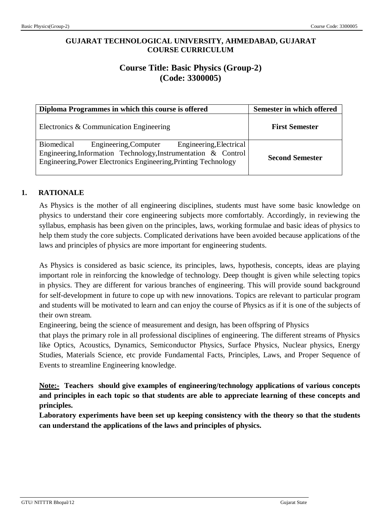# **GUJARAT TECHNOLOGICAL UNIVERSITY, AHMEDABAD, GUJARAT COURSE CURRICULUM**

# **Course Title: Basic Physics (Group-2) (Code: 3300005)**

| Diploma Programmes in which this course is offered                                                                                                                                                  | Semester in which offered |
|-----------------------------------------------------------------------------------------------------------------------------------------------------------------------------------------------------|---------------------------|
| Electronics & Communication Engineering                                                                                                                                                             | <b>First Semester</b>     |
| Engineering, Electrical<br>Biomedical<br>Engineering, Computer<br>Engineering, Information Technology, Instrumentation & Control<br>Engineering, Power Electronics Engineering, Printing Technology | <b>Second Semester</b>    |

# **1. RATIONALE**

As Physics is the mother of all engineering disciplines, students must have some basic knowledge on physics to understand their core engineering subjects more comfortably. Accordingly, in reviewing the syllabus, emphasis has been given on the principles, laws, working formulae and basic ideas of physics to help them study the core subjects. Complicated derivations have been avoided because applications of the laws and principles of physics are more important for engineering students.

As Physics is considered as basic science, its principles, laws, hypothesis, concepts, ideas are playing important role in reinforcing the knowledge of technology. Deep thought is given while selecting topics in physics. They are different for various branches of engineering. This will provide sound background for self-development in future to cope up with new innovations. Topics are relevant to particular program and students will be motivated to learn and can enjoy the course of Physics as if it is one of the subjects of their own stream.

Engineering, being the science of measurement and design, has been offspring of Physics

that plays the primary role in all professional disciplines of engineering. The different streams of Physics like Optics, Acoustics, Dynamics, Semiconductor Physics, Surface Physics, Nuclear physics, Energy Studies, Materials Science, etc provide Fundamental Facts, Principles, Laws, and Proper Sequence of Events to streamline Engineering knowledge.

**Note:- Teachers should give examples of engineering/technology applications of various concepts and principles in each topic so that students are able to appreciate learning of these concepts and principles.**

**Laboratory experiments have been set up keeping consistency with the theory so that the students can understand the applications of the laws and principles of physics.**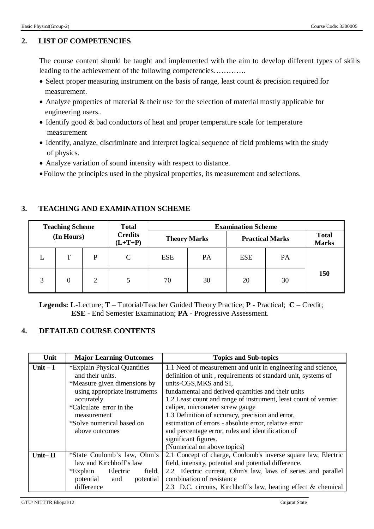# **2. LIST OF COMPETENCIES**

The course content should be taught and implemented with the aim to develop different types of skills leading to the achievement of the following competencies………….

- Select proper measuring instrument on the basis of range, least count & precision required for measurement.
- Analyze properties of material & their use for the selection of material mostly applicable for engineering users..
- Identify good & bad conductors of heat and proper temperature scale for temperature measurement
- Identify, analyze, discriminate and interpret logical sequence of field problems with the study of physics.
- Analyze variation of sound intensity with respect to distance.
- Follow the principles used in the physical properties, its measurement and selections.

|   | <b>Teaching Scheme</b> |   | <b>Total</b>                | <b>Examination Scheme</b> |                     |            |                        |                              |
|---|------------------------|---|-----------------------------|---------------------------|---------------------|------------|------------------------|------------------------------|
|   | (In Hours)             |   | <b>Credits</b><br>$(L+T+P)$ |                           | <b>Theory Marks</b> |            | <b>Practical Marks</b> | <b>Total</b><br><b>Marks</b> |
|   | т                      | P | $\mathcal{C}$               | <b>ESE</b>                | <b>PA</b>           | <b>ESE</b> | PA                     |                              |
| 3 | 0                      | 2 |                             | 70                        | 30                  | 20         | 30                     | 150                          |

# **3. TEACHING AND EXAMINATION SCHEME**

**Legends: L**-Lecture; **T** – Tutorial/Teacher Guided Theory Practice; **P** - Practical; **C** – Credit;  **ESE** - End Semester Examination; **PA** - Progressive Assessment.

# **4. DETAILED COURSE CONTENTS**

| Unit        | <b>Major Learning Outcomes</b> | <b>Topics and Sub-topics</b>                                    |  |  |
|-------------|--------------------------------|-----------------------------------------------------------------|--|--|
| Unit $-I$   | *Explain Physical Quantities   | 1.1 Need of measurement and unit in engineering and science,    |  |  |
|             | and their units.               | definition of unit, requirements of standard unit, systems of   |  |  |
|             | *Measure given dimensions by   | units-CGS, MKS and SI,                                          |  |  |
|             | using appropriate instruments  | fundamental and derived quantities and their units              |  |  |
|             | accurately.                    | 1.2 Least count and range of instrument, least count of vernier |  |  |
|             | *Calculate error in the        | caliper, micrometer screw gauge                                 |  |  |
|             | measurement                    | 1.3 Definition of accuracy, precision and error,                |  |  |
|             | *Solve numerical based on      | estimation of errors - absolute error, relative error           |  |  |
|             | above outcomes                 | and percentage error, rules and identification of               |  |  |
|             |                                | significant figures.                                            |  |  |
|             |                                | (Numerical on above topics)                                     |  |  |
| Unit $-$ II | *State Coulomb's law, Ohm's    | 2.1 Concept of charge, Coulomb's inverse square law, Electric   |  |  |
|             | law and Kirchhoff's law        | field, intensity, potential and potential difference.           |  |  |
|             | *Explain<br>Electric<br>field, | 2.2 Electric current, Ohm's law, laws of series and parallel    |  |  |
|             | potential<br>potential<br>and  | combination of resistance                                       |  |  |
|             | difference                     | 2.3 D.C. circuits, Kirchhoff's law, heating effect & chemical   |  |  |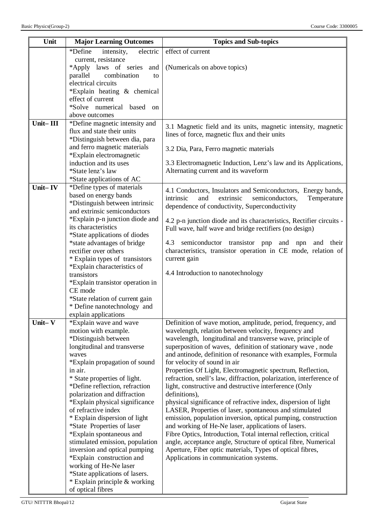| *Define<br>effect of current<br>electric<br>intensity,<br>current, resistance<br>*Apply laws of series<br>(Numericals on above topics)<br>and<br>parallel<br>combination<br>to<br>electrical circuits<br>*Explain heating & chemical |
|--------------------------------------------------------------------------------------------------------------------------------------------------------------------------------------------------------------------------------------|
|                                                                                                                                                                                                                                      |
|                                                                                                                                                                                                                                      |
|                                                                                                                                                                                                                                      |
|                                                                                                                                                                                                                                      |
|                                                                                                                                                                                                                                      |
| effect of current                                                                                                                                                                                                                    |
| *Solve numerical based<br><sub>on</sub>                                                                                                                                                                                              |
| above outcomes                                                                                                                                                                                                                       |
| $\overline{\text{Unit} - \text{III}}$<br>*Define magnetic intensity and                                                                                                                                                              |
| 3.1 Magnetic field and its units, magnetic intensity, magnetic<br>flux and state their units<br>lines of force, magnetic flux and their units                                                                                        |
| *Distinguish between dia, para                                                                                                                                                                                                       |
| and ferro magnetic materials<br>3.2 Dia, Para, Ferro magnetic materials                                                                                                                                                              |
| *Explain electromagnetic                                                                                                                                                                                                             |
| induction and its uses<br>3.3 Electromagnetic Induction, Lenz's law and its Applications,                                                                                                                                            |
| *State lenz's law<br>Alternating current and its waveform<br>*State applications of AC                                                                                                                                               |
| *Define types of materials<br>Unit-IV                                                                                                                                                                                                |
| 4.1 Conductors, Insulators and Semiconductors, Energy bands,<br>based on energy bands                                                                                                                                                |
| intrinsic<br>and<br>extrinsic<br>semiconductors,<br>Temperature<br>*Distinguish between intrinsic                                                                                                                                    |
| dependence of conductivity, Superconductivity<br>and extrinsic semiconductors                                                                                                                                                        |
| *Explain p-n junction diode and<br>4.2 p-n junction diode and its characteristics, Rectifier circuits -                                                                                                                              |
| its characteristics<br>Full wave, half wave and bridge rectifiers (no design)                                                                                                                                                        |
| *State applications of diodes                                                                                                                                                                                                        |
| *state advantages of bridge<br>semiconductor transistor pnp and npn and their<br>4.3                                                                                                                                                 |
| characteristics, transistor operation in CE mode, relation of<br>rectifier over others<br>* Explain types of transistors<br>current gain                                                                                             |
| *Explain characteristics of                                                                                                                                                                                                          |
| 4.4 Introduction to nanotechnology<br>transistors                                                                                                                                                                                    |
| *Explain transistor operation in                                                                                                                                                                                                     |
| CE mode                                                                                                                                                                                                                              |
| *State relation of current gain                                                                                                                                                                                                      |
| * Define nanotechnology and                                                                                                                                                                                                          |
| explain applications                                                                                                                                                                                                                 |
| Unit-V<br>*Explain wave and wave<br>Definition of wave motion, amplitude, period, frequency, and                                                                                                                                     |
| motion with example.<br>wavelength, relation between velocity, frequency and<br>*Distinguish between<br>wavelength, longitudinal and transverse wave, principle of                                                                   |
| longitudinal and transverse<br>superposition of waves, definition of stationary wave, node                                                                                                                                           |
| and antinode, definition of resonance with examples, Formula<br>waves                                                                                                                                                                |
| *Explain propagation of sound<br>for velocity of sound in air                                                                                                                                                                        |
| Properties Of Light, Electromagnetic spectrum, Reflection,<br>in air.                                                                                                                                                                |
| * State properties of light.<br>refraction, snell's law, diffraction, polarization, interference of                                                                                                                                  |
| *Define reflection, refraction<br>light, constructive and destructive interference (Only                                                                                                                                             |
| polarization and diffraction<br>definitions),                                                                                                                                                                                        |
| *Explain physical significance<br>physical significance of refractive index, dispersion of light<br>of refractive index                                                                                                              |
| LASER, Properties of laser, spontaneous and stimulated<br>* Explain dispersion of light<br>emission, population inversion, optical pumping, construction                                                                             |
| *State Properties of laser<br>and working of He-Ne laser, applications of lasers.                                                                                                                                                    |
| *Explain spontaneous and<br>Fibre Optics, Introduction, Total internal reflection, critical                                                                                                                                          |
| stimulated emission, population<br>angle, acceptance angle, Structure of optical fibre, Numerical                                                                                                                                    |
| Aperture, Fiber optic materials, Types of optical fibres,<br>inversion and optical pumping                                                                                                                                           |
| *Explain construction and<br>Applications in communication systems.                                                                                                                                                                  |
| working of He-Ne laser                                                                                                                                                                                                               |
| *State applications of lasers.                                                                                                                                                                                                       |
| * Explain principle & working<br>of optical fibres                                                                                                                                                                                   |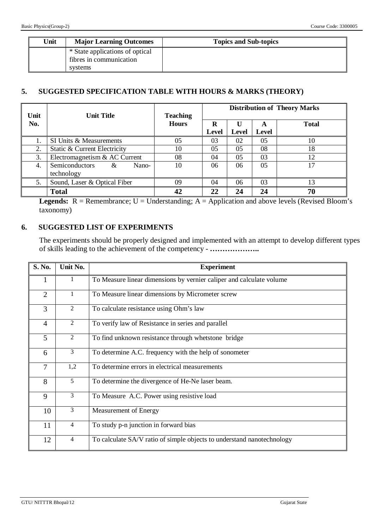| Unit | <b>Major Learning Outcomes</b>                                        | <b>Topics and Sub-topics</b> |
|------|-----------------------------------------------------------------------|------------------------------|
|      | * State applications of optical<br>fibres in communication<br>systems |                              |

# **5. SUGGESTED SPECIFICATION TABLE WITH HOURS & MARKS (THEORY)**

| Unit | <b>Unit Title</b>                                        | <b>Teaching</b> | <b>Distribution of Theory Marks</b> |       |            |              |
|------|----------------------------------------------------------|-----------------|-------------------------------------|-------|------------|--------------|
| No.  |                                                          | <b>Hours</b>    | R<br>Level                          | Level | A<br>Level | <b>Total</b> |
|      | SI Units & Measurements                                  | 05              | 03                                  | 02    | 05         | 10           |
| 2.   | Static & Current Electricity                             | 10              | 05                                  | 05    | 08         | 18           |
| 3.   | Electromagnetism & AC Current                            | 08              | 04                                  | 05    | 03         | 12           |
| 4.   | <b>Semiconductors</b><br>Nano-<br>$\alpha$<br>technology | 10              | 06                                  | 06    | 05         | 17           |
| 5.   | Sound, Laser & Optical Fiber                             | 09              | 04                                  | 06    | 03         | 13           |
|      | <b>Total</b>                                             | 42              | 22                                  | 24    | 24         | 70           |

**Legends:**  $R =$  Remembrance;  $U =$  Understanding;  $A =$  Application and above levels (Revised Bloom's taxonomy)

# **6. SUGGESTED LIST OF EXPERIMENTS**

The experiments should be properly designed and implemented with an attempt to develop different types of skills leading to the achievement of the competency - *………………..*

| S. No.          | Unit No.       | <b>Experiment</b>                                                      |  |  |  |
|-----------------|----------------|------------------------------------------------------------------------|--|--|--|
|                 | $\bf{l}$       | To Measure linear dimensions by vernier caliper and calculate volume   |  |  |  |
| $\overline{2}$  | $\mathbf{1}$   | To Measure linear dimensions by Micrometer screw                       |  |  |  |
| $\overline{3}$  | $\overline{2}$ | To calculate resistance using Ohm's law                                |  |  |  |
| $\overline{4}$  | 2              | To verify law of Resistance in series and parallel                     |  |  |  |
| $5\overline{)}$ | $\overline{2}$ | To find unknown resistance through whetstone bridge                    |  |  |  |
| 6               | 3              | To determine A.C. frequency with the help of sonometer                 |  |  |  |
| $\tau$          | 1,2            | To determine errors in electrical measurements                         |  |  |  |
| 8               | 5              | To determine the divergence of He-Ne laser beam.                       |  |  |  |
| 9               | $\overline{3}$ | To Measure A.C. Power using resistive load                             |  |  |  |
| 10              | 3              | Measurement of Energy                                                  |  |  |  |
| 11              | $\overline{4}$ | To study p-n junction in forward bias                                  |  |  |  |
| 12              | $\overline{4}$ | To calculate SA/V ratio of simple objects to understand nanotechnology |  |  |  |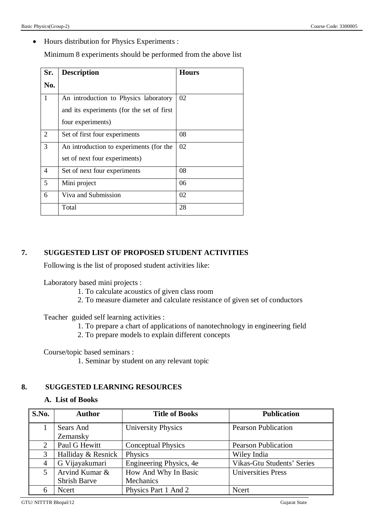Hours distribution for Physics Experiments :

Minimum 8 experiments should be performed from the above list

| Sr.            | <b>Description</b>                        | <b>Hours</b> |
|----------------|-------------------------------------------|--------------|
| No.            |                                           |              |
| 1              | An introduction to Physics laboratory     | 02           |
|                | and its experiments (for the set of first |              |
|                | four experiments)                         |              |
| 2              | Set of first four experiments             | 08           |
| 3              | An introduction to experiments (for the   | 02           |
|                | set of next four experiments)             |              |
| $\overline{4}$ | Set of next four experiments              | 08           |
| 5              | Mini project                              | 06           |
| 6              | Viva and Submission                       | 02           |
|                | Total                                     | 28           |

## **7. SUGGESTED LIST OF PROPOSED STUDENT ACTIVITIES**

Following is the list of proposed student activities like:

Laboratory based mini projects :

- 1. To calculate acoustics of given class room
- 2. To measure diameter and calculate resistance of given set of conductors

Teacher guided self learning activities :

- 1. To prepare a chart of applications of nanotechnology in engineering field
- 2. To prepare models to explain different concepts

Course/topic based seminars :

1. Seminar by student on any relevant topic

## **8. SUGGESTED LEARNING RESOURCES**

## **A. List of Books**

| S.No. | <b>Author</b>       | <b>Title of Books</b>     | <b>Publication</b>         |
|-------|---------------------|---------------------------|----------------------------|
|       | Sears And           | <b>University Physics</b> | <b>Pearson Publication</b> |
|       | Zemansky            |                           |                            |
| 2     | Paul G Hewitt       | <b>Conceptual Physics</b> | <b>Pearson Publication</b> |
| 3     | Halliday & Resnick  | Physics                   | Wiley India                |
| 4     | G Vijayakumari      | Engineering Physics, 4e   | Vikas-Gtu Students' Series |
| 5     | Arvind Kumar &      | How And Why In Basic      | <b>Universities Press</b>  |
|       | <b>Shrish Barve</b> | Mechanics                 |                            |
| 6     | Ncert               | Physics Part 1 And 2      | Ncert                      |